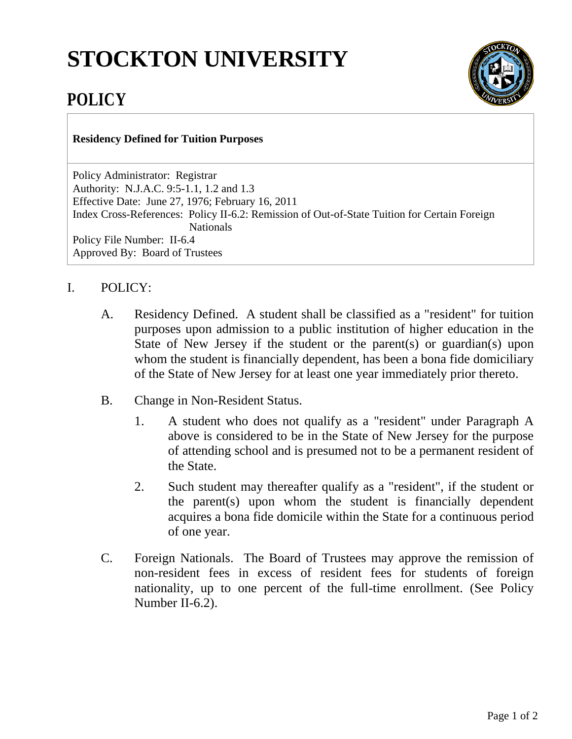## **STOCKTON UNIVERSITY**



## **POLICY**

## **Residency Defined for Tuition Purposes**

Policy Administrator: Registrar Authority: N.J.A.C. 9:5-1.1, 1.2 and 1.3 Effective Date: June 27, 1976; February 16, 2011 Index Cross-References: Policy II-6.2: Remission of Out-of-State Tuition for Certain Foreign **Nationals** Policy File Number: II-6.4 Approved By: Board of Trustees

## I. POLICY:

- A. Residency Defined. A student shall be classified as a "resident" for tuition purposes upon admission to a public institution of higher education in the State of New Jersey if the student or the parent(s) or guardian(s) upon whom the student is financially dependent, has been a bona fide domiciliary of the State of New Jersey for at least one year immediately prior thereto.
- B. Change in Non-Resident Status.
	- 1. A student who does not qualify as a "resident" under Paragraph A above is considered to be in the State of New Jersey for the purpose of attending school and is presumed not to be a permanent resident of the State.
	- 2. Such student may thereafter qualify as a "resident", if the student or the parent(s) upon whom the student is financially dependent acquires a bona fide domicile within the State for a continuous period of one year.
- C. Foreign Nationals. The Board of Trustees may approve the remission of non-resident fees in excess of resident fees for students of foreign nationality, up to one percent of the full-time enrollment. (See Policy Number II-6.2).